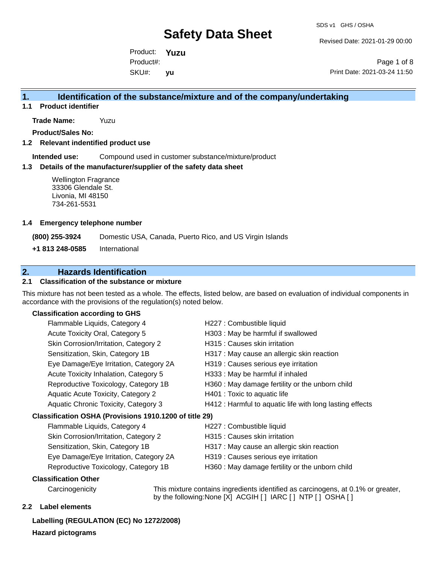Revised Date: 2021-01-29 00:00

Product: **Yuzu** SKU#: Product#: **yu**

Page 1 of 8 Print Date: 2021-03-24 11:50

#### **1. Identification of the substance/mixture and of the company/undertaking**

**1.1 Product identifier**

**Trade Name:** Yuzu

**Product/Sales No:**

**1.2 Relevant indentified product use**

**Intended use:** Compound used in customer substance/mixture/product

#### **1.3 Details of the manufacturer/supplier of the safety data sheet**

Wellington Fragrance 33306 Glendale St. Livonia, MI 48150 734-261-5531

#### **1.4 Emergency telephone number**

**(800) 255-3924** Domestic USA, Canada, Puerto Rico, and US Virgin Islands

**+1 813 248-0585** International

### **2. Hazards Identification**

#### **2.1 Classification of the substance or mixture**

This mixture has not been tested as a whole. The effects, listed below, are based on evaluation of individual components in accordance with the provisions of the regulation(s) noted below.

#### **Classification according to GHS**

| Flammable Liquids, Category 4                          | H227 : Combustible liquid                                |
|--------------------------------------------------------|----------------------------------------------------------|
| Acute Toxicity Oral, Category 5                        | H303 : May be harmful if swallowed                       |
| Skin Corrosion/Irritation, Category 2                  | H315 : Causes skin irritation                            |
| Sensitization, Skin, Category 1B                       | H317 : May cause an allergic skin reaction               |
| Eye Damage/Eye Irritation, Category 2A                 | H319 : Causes serious eye irritation                     |
| Acute Toxicity Inhalation, Category 5                  | H333: May be harmful if inhaled                          |
| Reproductive Toxicology, Category 1B                   | H360 : May damage fertility or the unborn child          |
| <b>Aquatic Acute Toxicity, Category 2</b>              | H401 : Toxic to aquatic life                             |
| Aquatic Chronic Toxicity, Category 3                   | H412 : Harmful to aquatic life with long lasting effects |
| Classification OSHA (Provisions 1910.1200 of title 29) |                                                          |
| Flammable Liquids, Category 4                          | H227 : Combustible liquid                                |
| Skin Corrosion/Irritation, Category 2                  | H315 : Causes skin irritation                            |
|                                                        |                                                          |

Sensitization, Skin, Category 1B **H317** : May cause an allergic skin reaction

- Eye Damage/Eye Irritation, Category 2A H319 : Causes serious eye irritation
- Reproductive Toxicology, Category 1B H360 : May damage fertility or the unborn child

#### **Classification Other**

Carcinogenicity This mixture contains ingredients identified as carcinogens, at 0.1% or greater, by the following:None [X] ACGIH [ ] IARC [ ] NTP [ ] OSHA [ ]

#### **2.2 Label elements**

**Labelling (REGULATION (EC) No 1272/2008) Hazard pictograms**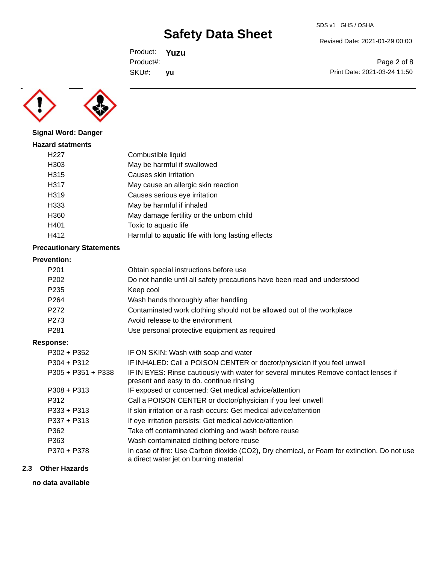Revised Date: 2021-01-29 00:00

Product: **Yuzu** SKU#: Product#: **yu**

Page 2 of 8 Print Date: 2021-03-24 11:50



**Signal Word: Danger**

### **Hazard statments** H227 Combustible liquid H303 May be harmful if swallowed H315 Causes skin irritation H317 May cause an allergic skin reaction H319 Causes serious eye irritation H333 May be harmful if inhaled H360 May damage fertility or the unborn child H401 Toxic to aquatic life H412 **Harmful to aquatic life with long lasting effects**

#### **Precautionary Statements**

#### **Prevention:**

| .                    |                                                                                                                                       |
|----------------------|---------------------------------------------------------------------------------------------------------------------------------------|
| P <sub>201</sub>     | Obtain special instructions before use                                                                                                |
| P <sub>202</sub>     | Do not handle until all safety precautions have been read and understood                                                              |
| P <sub>235</sub>     | Keep cool                                                                                                                             |
| P <sub>264</sub>     | Wash hands thoroughly after handling                                                                                                  |
| P272                 | Contaminated work clothing should not be allowed out of the workplace                                                                 |
| P273                 | Avoid release to the environment                                                                                                      |
| P <sub>281</sub>     | Use personal protective equipment as required                                                                                         |
| Response:            |                                                                                                                                       |
| $P302 + P352$        | IF ON SKIN: Wash with soap and water                                                                                                  |
| $P304 + P312$        | IF INHALED: Call a POISON CENTER or doctor/physician if you feel unwell                                                               |
| $P305 + P351 + P338$ | IF IN EYES: Rinse cautiously with water for several minutes Remove contact lenses if<br>present and easy to do. continue rinsing      |
| $P308 + P313$        | IF exposed or concerned: Get medical advice/attention                                                                                 |
| P312                 | Call a POISON CENTER or doctor/physician if you feel unwell                                                                           |
| P333 + P313          | If skin irritation or a rash occurs: Get medical advice/attention                                                                     |
| $P337 + P313$        | If eye irritation persists: Get medical advice/attention                                                                              |
| P362                 | Take off contaminated clothing and wash before reuse                                                                                  |
| P363                 | Wash contaminated clothing before reuse                                                                                               |
| P370 + P378          | In case of fire: Use Carbon dioxide (CO2), Dry chemical, or Foam for extinction. Do not use<br>a direct water jet on burning material |

#### **2.3 Other Hazards**

**no data available**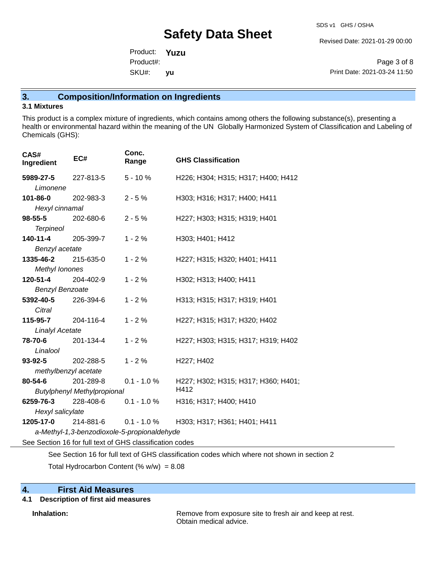Revised Date: 2021-01-29 00:00

Product: **Yuzu** SKU#: Product#: **yu**

Page 3 of 8 Print Date: 2021-03-24 11:50

### **3. Composition/Information on Ingredients**

#### **3.1 Mixtures**

This product is a complex mixture of ingredients, which contains among others the following substance(s), presenting a health or environmental hazard within the meaning of the UN Globally Harmonized System of Classification and Labeling of Chemicals (GHS):

| CAS#<br>Ingredient                         | EC#                                                                                                                                                                                                                                                                                                                                                           | Conc.<br>Range | <b>GHS Classification</b>           |  |  |
|--------------------------------------------|---------------------------------------------------------------------------------------------------------------------------------------------------------------------------------------------------------------------------------------------------------------------------------------------------------------------------------------------------------------|----------------|-------------------------------------|--|--|
| <b>5989-27-5</b> 227-813-5                 |                                                                                                                                                                                                                                                                                                                                                               | $5 - 10%$      | H226; H304; H315; H317; H400; H412  |  |  |
| Limonene                                   |                                                                                                                                                                                                                                                                                                                                                               |                |                                     |  |  |
| 101-86-0                                   | 202-983-3                                                                                                                                                                                                                                                                                                                                                     | $2 - 5%$       | H303; H316; H317; H400; H411        |  |  |
| Hexyl cinnamal                             |                                                                                                                                                                                                                                                                                                                                                               |                |                                     |  |  |
| <b>98-55-5</b> 202-680-6                   |                                                                                                                                                                                                                                                                                                                                                               | $2 - 5%$       | H227; H303; H315; H319; H401        |  |  |
| <b>Terpineol</b>                           |                                                                                                                                                                                                                                                                                                                                                               |                |                                     |  |  |
| 140-11-4                                   | 205-399-7                                                                                                                                                                                                                                                                                                                                                     | $1 - 2%$       | H303; H401; H412                    |  |  |
| Benzyl acetate                             |                                                                                                                                                                                                                                                                                                                                                               |                |                                     |  |  |
| 1335-46-2 215-635-0                        |                                                                                                                                                                                                                                                                                                                                                               | $1 - 2%$       | H227; H315; H320; H401; H411        |  |  |
| Methyl Ionones                             |                                                                                                                                                                                                                                                                                                                                                               |                |                                     |  |  |
| 120-51-4                                   | 204-402-9                                                                                                                                                                                                                                                                                                                                                     | $1 - 2%$       | H302; H313; H400; H411              |  |  |
| <b>Benzyl Benzoate</b>                     |                                                                                                                                                                                                                                                                                                                                                               |                |                                     |  |  |
| <b>5392-40-5</b> 226-394-6                 |                                                                                                                                                                                                                                                                                                                                                               | $1 - 2%$       | H313; H315; H317; H319; H401        |  |  |
| Citral                                     |                                                                                                                                                                                                                                                                                                                                                               |                |                                     |  |  |
| 115-95-7 204-116-4                         |                                                                                                                                                                                                                                                                                                                                                               | $1 - 2%$       | H227; H315; H317; H320; H402        |  |  |
| <b>Linalyl Acetate</b>                     |                                                                                                                                                                                                                                                                                                                                                               |                |                                     |  |  |
| 78-70-6                                    | 201-134-4                                                                                                                                                                                                                                                                                                                                                     | $1 - 2%$       | H227; H303; H315; H317; H319; H402  |  |  |
| Linalool                                   |                                                                                                                                                                                                                                                                                                                                                               |                |                                     |  |  |
| <b>93-92-5</b> 202-288-5                   |                                                                                                                                                                                                                                                                                                                                                               | $1 - 2%$       | H227; H402                          |  |  |
| methylbenzyl acetate                       |                                                                                                                                                                                                                                                                                                                                                               |                |                                     |  |  |
| 80-54-6                                    | 201-289-8                                                                                                                                                                                                                                                                                                                                                     | $0.1 - 1.0 %$  | H227; H302; H315; H317; H360; H401; |  |  |
| H412<br><b>Butylphenyl Methylpropional</b> |                                                                                                                                                                                                                                                                                                                                                               |                |                                     |  |  |
|                                            | <b>6259-76-3</b> 228-408-6 0.1 - 1.0 %                                                                                                                                                                                                                                                                                                                        |                | H316; H317; H400; H410              |  |  |
| Hexyl salicylate                           |                                                                                                                                                                                                                                                                                                                                                               |                |                                     |  |  |
|                                            | <b>1205-17-0</b> 214-881-6 0.1 - 1.0 %                                                                                                                                                                                                                                                                                                                        |                | H303; H317; H361; H401; H411        |  |  |
|                                            | a-Methyl-1,3-benzodioxole-5-propionaldehyde                                                                                                                                                                                                                                                                                                                   |                |                                     |  |  |
|                                            | $\Omega$ . $\Omega$ . $\Omega$ . $\Omega$ . $\Omega$ . $\Omega$ . $\Omega$ . $\Omega$ . $\Omega$ . $\Omega$ . $\Omega$ . $\Omega$ . $\Omega$ . $\Omega$ . $\Omega$ . $\Omega$ . $\Omega$ . $\Omega$ . $\Omega$ . $\Omega$ . $\Omega$ . $\Omega$ . $\Omega$ . $\Omega$ . $\Omega$ . $\Omega$ . $\Omega$ . $\Omega$ . $\Omega$ . $\Omega$ . $\Omega$ . $\Omega$ |                |                                     |  |  |

See Section 16 for full text of GHS classification codes

See Section 16 for full text of GHS classification codes which where not shown in section 2

Total Hydrocarbon Content (%  $w/w$ ) = 8.08

# **4. First Aid Measures**

### **4.1 Description of first aid measures**

**Inhalation:** Remove from exposure site to fresh air and keep at rest. Obtain medical advice.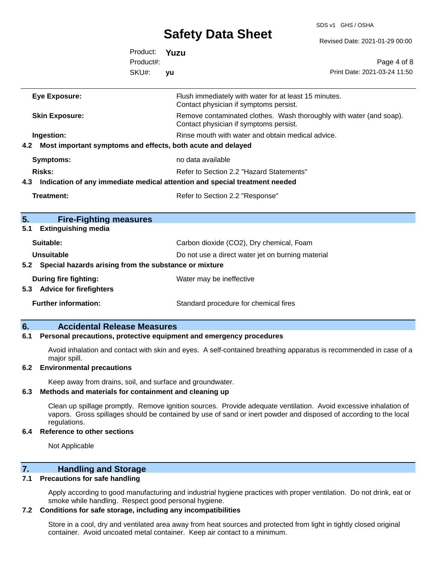SDS v1 GHS / OSHA

|                                                                                   |                    | <b>Safety Data Sheet</b>                                                                                               | Revised Date: 2021-01-29 00:00                                      |
|-----------------------------------------------------------------------------------|--------------------|------------------------------------------------------------------------------------------------------------------------|---------------------------------------------------------------------|
|                                                                                   | Product:           | Yuzu                                                                                                                   |                                                                     |
|                                                                                   | Product#:<br>SKU#: | yu                                                                                                                     | Page 4 of 8<br>Print Date: 2021-03-24 11:50                         |
| <b>Eye Exposure:</b>                                                              |                    | Flush immediately with water for at least 15 minutes.<br>Contact physician if symptoms persist.                        |                                                                     |
| <b>Skin Exposure:</b>                                                             |                    | Contact physician if symptoms persist.                                                                                 | Remove contaminated clothes. Wash thoroughly with water (and soap). |
| Ingestion:<br>Most important symptoms and effects, both acute and delayed<br>4.2  |                    | Rinse mouth with water and obtain medical advice.                                                                      |                                                                     |
| <b>Symptoms:</b>                                                                  |                    | no data available                                                                                                      |                                                                     |
| Risks:<br>4.3                                                                     |                    | Refer to Section 2.2 "Hazard Statements"<br>Indication of any immediate medical attention and special treatment needed |                                                                     |
| Treatment:                                                                        |                    | Refer to Section 2.2 "Response"                                                                                        |                                                                     |
| 5.<br><b>Fire-Fighting measures</b><br><b>Extinguishing media</b><br>5.1          |                    |                                                                                                                        |                                                                     |
| Suitable:                                                                         |                    | Carbon dioxide (CO2), Dry chemical, Foam                                                                               |                                                                     |
| <b>Unsuitable</b><br>Special hazards arising from the substance or mixture<br>5.2 |                    | Do not use a direct water jet on burning material                                                                      |                                                                     |
| <b>During fire fighting:</b><br><b>Advice for firefighters</b><br>5.3             |                    | Water may be ineffective                                                                                               |                                                                     |
| <b>Further information:</b>                                                       |                    | Standard procedure for chemical fires                                                                                  |                                                                     |

#### **6. Accidental Release Measures**

#### **6.1 Personal precautions, protective equipment and emergency procedures**

Avoid inhalation and contact with skin and eyes. A self-contained breathing apparatus is recommended in case of a major spill.

#### **6.2 Environmental precautions**

Keep away from drains, soil, and surface and groundwater.

#### **6.3 Methods and materials for containment and cleaning up**

Clean up spillage promptly. Remove ignition sources. Provide adequate ventilation. Avoid excessive inhalation of vapors. Gross spillages should be contained by use of sand or inert powder and disposed of according to the local regulations.

#### **6.4 Reference to other sections**

Not Applicable

#### **7. Handling and Storage**

#### **7.1 Precautions for safe handling**

Apply according to good manufacturing and industrial hygiene practices with proper ventilation. Do not drink, eat or smoke while handling. Respect good personal hygiene.

#### **7.2 Conditions for safe storage, including any incompatibilities**

Store in a cool, dry and ventilated area away from heat sources and protected from light in tightly closed original container. Avoid uncoated metal container. Keep air contact to a minimum.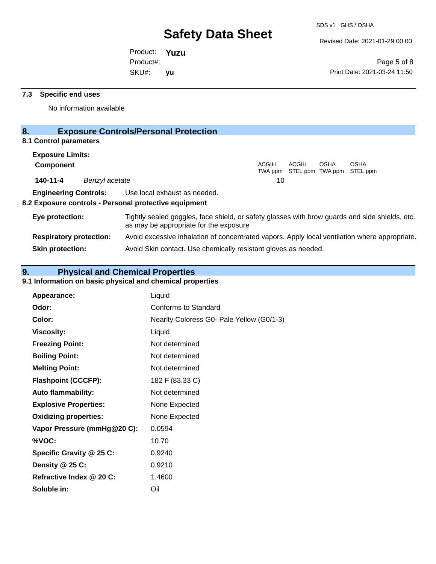Revised Date: 2021-01-29 00:00

Product: **Yuzu** SKU#: Product#: **yu**

Page 5 of 8 Print Date: 2021-03-24 11:50

#### **7.3 Specific end uses**

No information available

# **8. Exposure Controls/Personal Protection**

### **8.1 Control parameters**

| <b>Exposure Limits:</b>      |                |                                                                                                                                          |              |       |             |                                                  |  |
|------------------------------|----------------|------------------------------------------------------------------------------------------------------------------------------------------|--------------|-------|-------------|--------------------------------------------------|--|
| <b>Component</b>             |                |                                                                                                                                          | <b>ACGIH</b> | ACGIH | <b>OSHA</b> | <b>OSHA</b><br>TWA ppm STEL ppm TWA ppm STEL ppm |  |
| 140-11-4                     | Benzyl acetate |                                                                                                                                          | 10           |       |             |                                                  |  |
| <b>Engineering Controls:</b> |                | Use local exhaust as needed.<br>8.2 Exposure controls - Personal protective equipment                                                    |              |       |             |                                                  |  |
| Eye protection:              |                | Tightly sealed goggles, face shield, or safety glasses with brow guards and side shields, etc.<br>as may be appropriate for the exposure |              |       |             |                                                  |  |

**Respiratory protection:** Avoid excessive inhalation of concentrated vapors. Apply local ventilation where appropriate. **Skin protection:** Avoid Skin contact. Use chemically resistant gloves as needed.

# **9. Physical and Chemical Properties**

#### **9.1 Information on basic physical and chemical properties**

| Appearance:                  | Liquid                                    |
|------------------------------|-------------------------------------------|
| Odor:                        | Conforms to Standard                      |
| Color:                       | Nearlty Coloress G0- Pale Yellow (G0/1-3) |
| <b>Viscosity:</b>            | Liquid                                    |
| <b>Freezing Point:</b>       | Not determined                            |
| <b>Boiling Point:</b>        | Not determined                            |
| <b>Melting Point:</b>        | Not determined                            |
| <b>Flashpoint (CCCFP):</b>   | 182 F (83.33 C)                           |
| <b>Auto flammability:</b>    | Not determined                            |
| <b>Explosive Properties:</b> | None Expected                             |
| <b>Oxidizing properties:</b> | None Expected                             |
| Vapor Pressure (mmHg@20 C):  | 0.0594                                    |
| %VOC:                        | 10.70                                     |
| Specific Gravity @ 25 C:     | 0.9240                                    |
| Density @ 25 C:              | 0.9210                                    |
| Refractive Index @ 20 C:     | 1.4600                                    |
| Soluble in:                  | Oil                                       |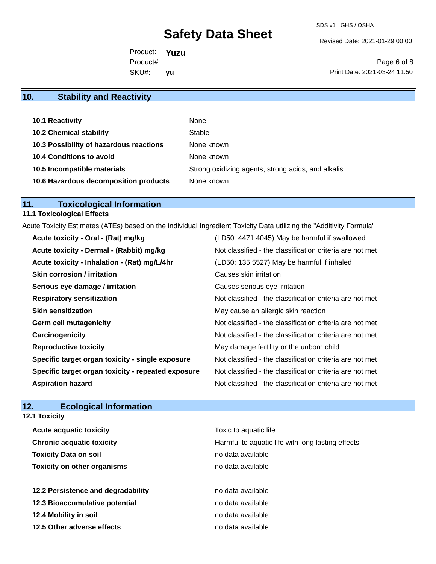Revised Date: 2021-01-29 00:00

Product: **Yuzu** SKU#: Product#: **yu**

Page 6 of 8 Print Date: 2021-03-24 11:50

# **10. Stability and Reactivity**

| 10.1 Reactivity                         | None                                               |
|-----------------------------------------|----------------------------------------------------|
| <b>10.2 Chemical stability</b>          | Stable                                             |
| 10.3 Possibility of hazardous reactions | None known                                         |
| 10.4 Conditions to avoid                | None known                                         |
| 10.5 Incompatible materials             | Strong oxidizing agents, strong acids, and alkalis |
| 10.6 Hazardous decomposition products   | None known                                         |

### **11. Toxicological Information**

### **11.1 Toxicological Effects**

Acute Toxicity Estimates (ATEs) based on the individual Ingredient Toxicity Data utilizing the "Additivity Formula"

| Acute toxicity - Oral - (Rat) mg/kg                | (LD50: 4471.4045) May be harmful if swallowed            |
|----------------------------------------------------|----------------------------------------------------------|
| Acute toxicity - Dermal - (Rabbit) mg/kg           | Not classified - the classification criteria are not met |
| Acute toxicity - Inhalation - (Rat) mg/L/4hr       | (LD50: 135.5527) May be harmful if inhaled               |
| <b>Skin corrosion / irritation</b>                 | Causes skin irritation                                   |
| Serious eye damage / irritation                    | Causes serious eye irritation                            |
| <b>Respiratory sensitization</b>                   | Not classified - the classification criteria are not met |
| <b>Skin sensitization</b>                          | May cause an allergic skin reaction                      |
| Germ cell mutagenicity                             | Not classified - the classification criteria are not met |
| Carcinogenicity                                    | Not classified - the classification criteria are not met |
| <b>Reproductive toxicity</b>                       | May damage fertility or the unborn child                 |
| Specific target organ toxicity - single exposure   | Not classified - the classification criteria are not met |
| Specific target organ toxicity - repeated exposure | Not classified - the classification criteria are not met |
| <b>Aspiration hazard</b>                           | Not classified - the classification criteria are not met |

### **12. Ecological Information 12.1 Toxicity**

| <b>Acute acquatic toxicity</b>     | Toxic to aquatic life                             |
|------------------------------------|---------------------------------------------------|
| <b>Chronic acquatic toxicity</b>   | Harmful to aquatic life with long lasting effects |
| <b>Toxicity Data on soil</b>       | no data available                                 |
| <b>Toxicity on other organisms</b> | no data available                                 |
|                                    |                                                   |
| 12.2 Persistence and degradability | no data available                                 |
| 12.3 Bioaccumulative potential     | no data available                                 |
| 12.4 Mobility in soil              | no data available                                 |
| 12.5 Other adverse effects         | no data available                                 |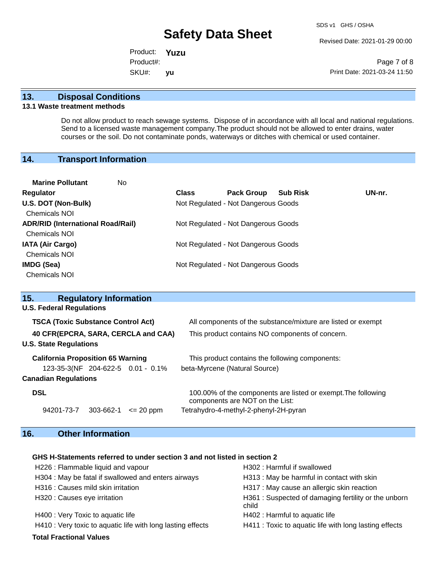Revised Date: 2021-01-29 00:00

Product: **Yuzu** SKU#: Product#: **yu**

Page 7 of 8 Print Date: 2021-03-24 11:50

#### **13. Disposal Conditions**

#### **13.1 Waste treatment methods**

Do not allow product to reach sewage systems. Dispose of in accordance with all local and national regulations. Send to a licensed waste management company.The product should not be allowed to enter drains, water courses or the soil. Do not contaminate ponds, waterways or ditches with chemical or used container.

#### **14. Transport Information**

| <b>Marine Pollutant</b><br>No.           |              |                                     |                 |        |
|------------------------------------------|--------------|-------------------------------------|-----------------|--------|
| Regulator                                | <b>Class</b> | <b>Pack Group</b>                   | <b>Sub Risk</b> | UN-nr. |
| U.S. DOT (Non-Bulk)                      |              | Not Regulated - Not Dangerous Goods |                 |        |
| <b>Chemicals NOI</b>                     |              |                                     |                 |        |
| <b>ADR/RID (International Road/Rail)</b> |              | Not Regulated - Not Dangerous Goods |                 |        |
| <b>Chemicals NOI</b>                     |              |                                     |                 |        |
| <b>IATA (Air Cargo)</b>                  |              | Not Regulated - Not Dangerous Goods |                 |        |
| <b>Chemicals NOI</b>                     |              |                                     |                 |        |
| <b>IMDG (Sea)</b>                        |              | Not Regulated - Not Dangerous Goods |                 |        |
| <b>Chemicals NOI</b>                     |              |                                     |                 |        |
|                                          |              |                                     |                 |        |

| 15.                                       | <b>Regulatory Information</b> |               |                                                                                                  |  |
|-------------------------------------------|-------------------------------|---------------|--------------------------------------------------------------------------------------------------|--|
| <b>U.S. Federal Regulations</b>           |                               |               |                                                                                                  |  |
| <b>TSCA (Toxic Substance Control Act)</b> |                               |               | All components of the substance/mixture are listed or exempt                                     |  |
| 40 CFR(EPCRA, SARA, CERCLA and CAA)       |                               |               | This product contains NO components of concern.                                                  |  |
| <b>U.S. State Regulations</b>             |                               |               |                                                                                                  |  |
| <b>California Proposition 65 Warning</b>  |                               |               | This product contains the following components:                                                  |  |
| 123-35-3(NF 204-622-5 0.01 - 0.1%         |                               |               | beta-Myrcene (Natural Source)                                                                    |  |
| <b>Canadian Regulations</b>               |                               |               |                                                                                                  |  |
| <b>DSL</b>                                |                               |               | 100.00% of the components are listed or exempt. The following<br>components are NOT on the List: |  |
| 94201-73-7                                | 303-662-1                     | $\leq$ 20 ppm | Tetrahydro-4-methyl-2-phenyl-2H-pyran                                                            |  |

# **16. Other Information**

#### **GHS H-Statements referred to under section 3 and not listed in section 2**

| H226 : Flammable liquid and vapour                          | H302 : Harmful if swallowed                                  |
|-------------------------------------------------------------|--------------------------------------------------------------|
| H304 : May be fatal if swallowed and enters airways         | H313 : May be harmful in contact with skin                   |
| H316 : Causes mild skin irritation                          | H317 : May cause an allergic skin reaction                   |
| H320 : Causes eye irritation                                | H361: Suspected of damaging fertility or the unborn<br>child |
| H400 : Very Toxic to aquatic life                           | H402 : Harmful to aquatic life                               |
| H410 : Very toxic to aquatic life with long lasting effects | H411 : Toxic to aquatic life with long lasting effects       |
| <b>Total Fractional Values</b>                              |                                                              |